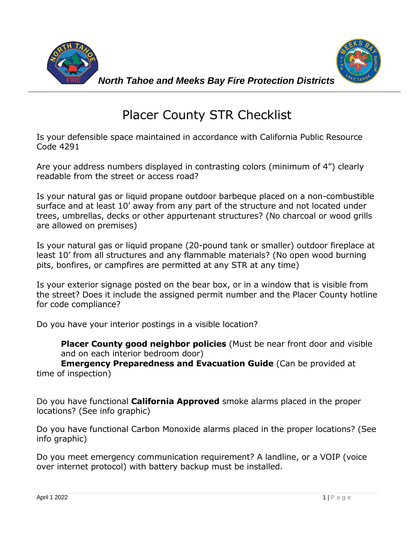



## Placer County STR Checklist

Is your defensible space maintained in accordance with California Public Resource Code 4291

Are your address numbers displayed in contrasting colors (minimum of 4") clearly readable from the street or access road?

Is your natural gas or liquid propane outdoor barbeque placed on a non-combustible surface and at least 10' away from any part of the structure and not located under trees, umbrellas, decks or other appurtenant structures? (No charcoal or wood grills are allowed on premises)

Is your natural gas or liquid propane (20-pound tank or smaller) outdoor fireplace at least 10' from all structures and any flammable materials? (No open wood burning pits, bonfires, or campfires are permitted at any STR at any time)

Is your exterior signage posted on the bear box, or in a window that is visible from the street? Does it include the assigned permit number and the Placer County hotline for code compliance?

Do you have your interior postings in a visible location?

**Placer County good neighbor policies** (Must be near front door and visible and on each interior bedroom door)

**Emergency Preparedness and Evacuation Guide** (Can be provided at time of inspection)

Do you have functional **California Approved** smoke alarms placed in the proper locations? (See info graphic)

Do you have functional Carbon Monoxide alarms placed in the proper locations? (See info graphic)

Do you meet emergency communication requirement? A landline, or a VOIP (voice over internet protocol) with battery backup must be installed.